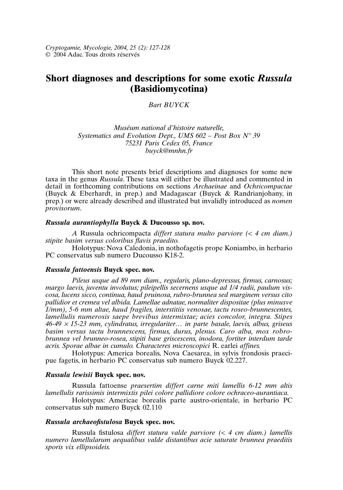*Cryptogamie, Mycologie, 2004, 25 (2): 127-128* © 2004 Adac. Tous droits réservés

# **Short diagnoses and descriptions for some exotic** *Russula* **(Basidiomycotina)**

*Bart BUYCK*

*Muséum national d'histoire naturelle, Systematics and Evolution Dept., UMS 602 – Post Box N° 39 75231 Paris Cedex 05, France buyck@mnhn.fr*

This short note presents brief descriptions and diagnoses for some new taxa in the genus *Russula*. These taxa will either be illustrated and commented in detail in forthcoming contributions on sections *Archaeinae* and *Ochricompactae* (Buyck & Eberhardt, in prep.) and Madagascar (Buyck & Randrianjohany, in prep.) or were already described and illustrated but invalidly introduced as *nomen provisorum*.

# *Russula aurantiophylla* **Buyck & Ducousso sp. nov.**

*A* Russula ochricompacta *differt statura multo parviore (< 4 cm diam.) stipite basim versus coloribus flavis praedito.*

Holotypus: Nova Caledonia, in nothofagetis prope Koniambo, in herbario PC conservatus sub numero Ducousso K18-2.

#### *Russula fattoensis* **Buyck spec. nov.**

*Pileus usque ad 89 mm diam., regularis, plano-depressus, firmus, carnosus; margo laevis, juventu involutus; pileipellis secernens usque ad 1/4 radii, paulum viscosa, lucens sicco, continua, haud pruinosa, rubro-brunnea sed marginem versus cito pallidior et cremea vel albida. Lamellae adnatae, normaliter dispositae (plus minusve 1/mm), 5-6 mm altae, haud fragiles, interstitiis venosae, tactu roseo-brunnescentes, lamellulis numerosis saepe brevibus intermixtae; acies concolor, integra. Stipes 46-49* <sup>×</sup> *15-23 mm, cylindratus, irregulariter… in parte basale, laevis, albus, griseus basim versus tactu brunnescens, firmus, durus, plenus. Caro alba, mox robrobrunnea vel brunneo-rosea, stipiti base griscescens, inodora, fortiter interdum tarde acris. Sporae albae in cumulo. Characteres microscopici* R. earlei *affines.*

Holotypus: America borealis, Nova Caesarea, in sylvis frondosis praecipue fagetis, in herbario PC conservatus sub numero Buyck 02.227.

# *Russula lewisii* **Buyck spec. nov.**

Russula fattoense *praesertim differt carne miti lamellis 6-12 mm altis lamellulis rarissimis intermixtis pilei colore pallidiore colore ochraceo-aurantiaca.*

Holotypus: Americae borealis parte austro-orientale, in herbario PC conservatus sub numero Buyck 02.110

## *Russula archaeofistulosa* **Buyck spec. nov.**

Russula fistulosa *differt statura valde parviore (< 4 cm diam.) lamellis numero lamellularum aequalibus valde distantibus acie saturate brunnea praeditis sporis vix ellipsoideis.*